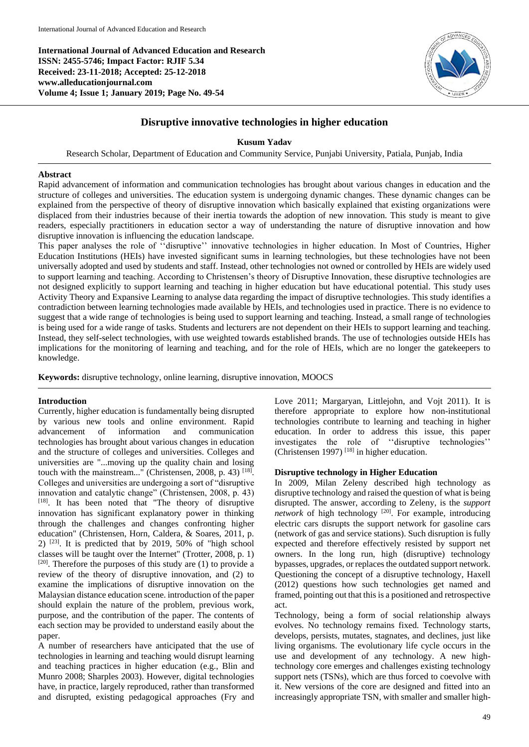**International Journal of Advanced Education and Research ISSN: 2455-5746; Impact Factor: RJIF 5.34 Received: 23-11-2018; Accepted: 25-12-2018 www.alleducationjournal.com Volume 4; Issue 1; January 2019; Page No. 49-54**



## **Disruptive innovative technologies in higher education**

## **Kusum Yadav**

Research Scholar, Department of Education and Community Service, Punjabi University, Patiala, Punjab, India

#### **Abstract**

Rapid advancement of information and communication technologies has brought about various changes in education and the structure of colleges and universities. The education system is undergoing dynamic changes. These dynamic changes can be explained from the perspective of theory of disruptive innovation which basically explained that existing organizations were displaced from their industries because of their inertia towards the adoption of new innovation. This study is meant to give readers, especially practitioners in education sector a way of understanding the nature of disruptive innovation and how disruptive innovation is influencing the education landscape.

This paper analyses the role of ''disruptive'' innovative technologies in higher education. In Most of Countries, Higher Education Institutions (HEIs) have invested significant sums in learning technologies, but these technologies have not been universally adopted and used by students and staff. Instead, other technologies not owned or controlled by HEIs are widely used to support learning and teaching. According to Christensen's theory of Disruptive Innovation, these disruptive technologies are not designed explicitly to support learning and teaching in higher education but have educational potential. This study uses Activity Theory and Expansive Learning to analyse data regarding the impact of disruptive technologies. This study identifies a contradiction between learning technologies made available by HEIs, and technologies used in practice. There is no evidence to suggest that a wide range of technologies is being used to support learning and teaching. Instead, a small range of technologies is being used for a wide range of tasks. Students and lecturers are not dependent on their HEIs to support learning and teaching. Instead, they self-select technologies, with use weighted towards established brands. The use of technologies outside HEIs has implications for the monitoring of learning and teaching, and for the role of HEIs, which are no longer the gatekeepers to knowledge.

**Keywords:** disruptive technology, online learning, disruptive innovation, MOOCS

#### **Introduction**

Currently, higher education is fundamentally being disrupted by various new tools and online environment. Rapid advancement of information and communication technologies has brought about various changes in education and the structure of colleges and universities. Colleges and universities are "...moving up the quality chain and losing touch with the mainstream..." (Christensen, 2008, p. 43)  $^{[18]}$ . Colleges and universities are undergoing a sort of "disruptive innovation and catalytic change" (Christensen, 2008, p. 43)  $[18]$ . It has been noted that "The theory of disruptive innovation has significant explanatory power in thinking through the challenges and changes confronting higher education" (Christensen, Horn, Caldera, & Soares, 2011, p. 2)  $[23]$ . It is predicted that by 2019, 50% of "high school classes will be taught over the Internet" (Trotter, 2008, p. 1) [20]. Therefore the purposes of this study are (1) to provide a review of the theory of disruptive innovation, and (2) to examine the implications of disruptive innovation on the Malaysian distance education scene. introduction of the paper should explain the nature of the problem, previous work, purpose, and the contribution of the paper. The contents of each section may be provided to understand easily about the paper.

A number of researchers have anticipated that the use of technologies in learning and teaching would disrupt learning and teaching practices in higher education (e.g., Blin and Munro 2008; Sharples 2003). However, digital technologies have, in practice, largely reproduced, rather than transformed and disrupted, existing pedagogical approaches (Fry and Love 2011; Margaryan, Littlejohn, and Vojt 2011). It is therefore appropriate to explore how non-institutional technologies contribute to learning and teaching in higher education. In order to address this issue, this paper investigates the role of ''disruptive technologies'' (Christensen 1997)<sup>[18]</sup> in higher education.

#### **Disruptive technology in Higher Education**

In 2009, Milan Zeleny described high technology as disruptive technology and raised the question of what is being disrupted. The answer, according to Zeleny, is the *support*  network of high technology<sup>[20]</sup>. For example, introducing electric cars disrupts the support network for gasoline cars (network of gas and service stations). Such disruption is fully expected and therefore effectively resisted by support net owners. In the long run, high (disruptive) technology bypasses, upgrades, or replaces the outdated support network. Questioning the concept of a disruptive technology, Haxell (2012) questions how such technologies get named and framed, pointing out that this is a positioned and retrospective act.

Technology, being a form of social relationship always evolves. No technology remains fixed. Technology starts, develops, persists, mutates, stagnates, and declines, just like living organisms. The evolutionary life cycle occurs in the use and development of any technology. A new hightechnology core emerges and challenges existing technology support nets (TSNs), which are thus forced to coevolve with it. New versions of the core are designed and fitted into an increasingly appropriate TSN, with smaller and smaller high-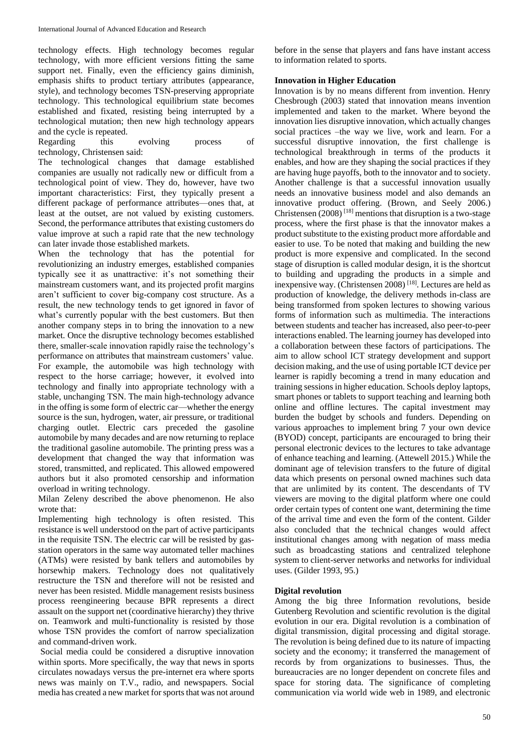technology effects. High technology becomes regular technology, with more efficient versions fitting the same support net. Finally, even the efficiency gains diminish, emphasis shifts to product tertiary attributes (appearance, style), and technology becomes TSN-preserving appropriate technology. This technological equilibrium state becomes established and fixated, resisting being interrupted by a technological mutation; then new high technology appears and the cycle is repeated.

Regarding this evolving process of technology, Christensen said:

The technological changes that damage established companies are usually not radically new or difficult from a technological point of view. They do, however, have two important characteristics: First, they typically present a different package of performance attributes—ones that, at least at the outset, are not valued by existing customers. Second, the performance attributes that existing customers do value improve at such a rapid rate that the new technology can later invade those established markets.

When the technology that has the potential for revolutionizing an industry emerges, established companies typically see it as unattractive: it's not something their mainstream customers want, and its projected profit margins aren't sufficient to cover big-company cost structure. As a result, the new technology tends to get ignored in favor of what's currently popular with the best customers. But then another company steps in to bring the innovation to a new market. Once the disruptive technology becomes established there, smaller-scale innovation rapidly raise the technology's performance on attributes that mainstream customers' value. For example, the automobile was high technology with respect to the horse carriage; however, it evolved into technology and finally into appropriate technology with a stable, unchanging TSN. The main high-technology advance in the offing is some form of electric car—whether the energy source is the sun, hydrogen, water, air pressure, or traditional charging outlet. Electric cars preceded the gasoline automobile by many decades and are now returning to replace the traditional gasoline automobile. The printing press was a development that changed the way that information was stored, transmitted, and replicated. This allowed empowered authors but it also promoted censorship and information overload in writing technology.

Milan Zeleny described the above phenomenon. He also wrote that:

Implementing high technology is often resisted. This resistance is well understood on the part of active participants in the requisite TSN. The electric car will be resisted by gasstation operators in the same way automated teller machines (ATMs) were resisted by bank tellers and automobiles by horsewhip makers. Technology does not qualitatively restructure the TSN and therefore will not be resisted and never has been resisted. Middle management resists business process reengineering because BPR represents a direct assault on the support net (coordinative hierarchy) they thrive on. Teamwork and multi-functionality is resisted by those whose TSN provides the comfort of narrow specialization and command-driven work.

Social media could be considered a disruptive innovation within sports. More specifically, the way that news in sports circulates nowadays versus the pre-internet era where sports news was mainly on T.V., radio, and newspapers. Social media has created a new market for sports that was not around before in the sense that players and fans have instant access to information related to sports.

# **Innovation in Higher Education**

Innovation is by no means different from invention. Henry Chesbrough (2003) stated that innovation means invention implemented and taken to the market. Where beyond the innovation lies disruptive innovation, which actually changes social practices –the way we live, work and learn. For a successful disruptive innovation, the first challenge is technological breakthrough in terms of the products it enables, and how are they shaping the social practices if they are having huge payoffs, both to the innovator and to society. Another challenge is that a successful innovation usually needs an innovative business model and also demands an innovative product offering. (Brown, and Seely 2006.) Christensen  $(2008)^{[18]}$  mentions that disruption is a two-stage process, where the first phase is that the innovator makes a product substitute to the existing product more affordable and easier to use. To be noted that making and building the new product is more expensive and complicated. In the second stage of disruption is called modular design, it is the shortcut to building and upgrading the products in a simple and inexpensive way. (Christensen 2008) [18]. Lectures are held as production of knowledge, the delivery methods in-class are being transformed from spoken lectures to showing various forms of information such as multimedia. The interactions between students and teacher has increased, also peer-to-peer interactions enabled. The learning journey has developed into a collaboration between these factors of participations. The aim to allow school ICT strategy development and support decision making, and the use of using portable ICT device per learner is rapidly becoming a trend in many education and training sessions in higher education. Schools deploy laptops, smart phones or tablets to support teaching and learning both online and offline lectures. The capital investment may burden the budget by schools and funders. Depending on various approaches to implement bring 7 your own device (BYOD) concept, participants are encouraged to bring their personal electronic devices to the lectures to take advantage of enhance teaching and learning. (Attewell 2015.) While the dominant age of television transfers to the future of digital data which presents on personal owned machines such data that are unlimited by its content. The descendants of TV viewers are moving to the digital platform where one could order certain types of content one want, determining the time of the arrival time and even the form of the content. Gilder also concluded that the technical changes would affect institutional changes among with negation of mass media such as broadcasting stations and centralized telephone system to client-server networks and networks for individual uses. (Gilder 1993, 95.)

# **Digital revolution**

Among the big three Information revolutions, beside Gutenberg Revolution and scientific revolution is the digital evolution in our era. Digital revolution is a combination of digital transmission, digital processing and digital storage. The revolution is being defined due to its nature of impacting society and the economy; it transferred the management of records by from organizations to businesses. Thus, the bureaucracies are no longer dependent on concrete files and space for storing data. The significance of completing communication via world wide web in 1989, and electronic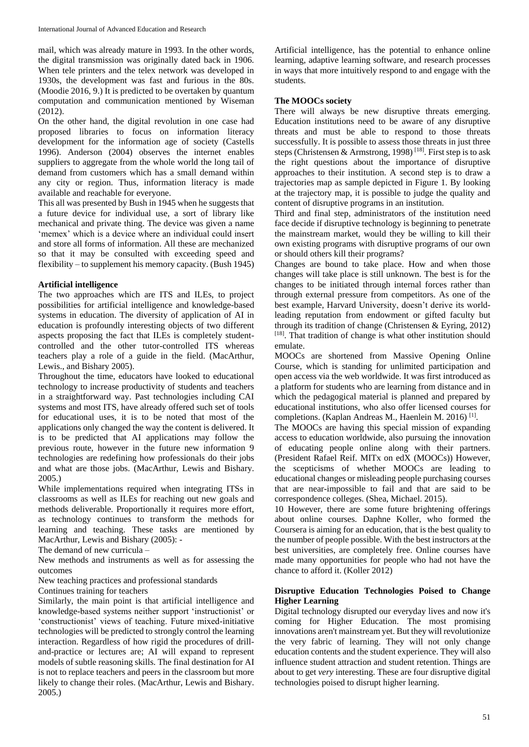mail, which was already mature in 1993. In the other words, the digital transmission was originally dated back in 1906. When tele printers and the telex network was developed in 1930s, the development was fast and furious in the 80s. (Moodie 2016, 9.) It is predicted to be overtaken by quantum computation and communication mentioned by Wiseman (2012).

On the other hand, the digital revolution in one case had proposed libraries to focus on information literacy development for the information age of society (Castells 1996). Anderson (2004) observes the internet enables suppliers to aggregate from the whole world the long tail of demand from customers which has a small demand within any city or region. Thus, information literacy is made available and reachable for everyone.

This all was presented by Bush in 1945 when he suggests that a future device for individual use, a sort of library like mechanical and private thing. The device was given a name 'memex' which is a device where an individual could insert and store all forms of information. All these are mechanized so that it may be consulted with exceeding speed and flexibility – to supplement his memory capacity. (Bush 1945)

## **Artificial intelligence**

The two approaches which are ITS and ILEs, to project possibilities for artificial intelligence and knowledge-based systems in education. The diversity of application of AI in education is profoundly interesting objects of two different aspects proposing the fact that ILEs is completely studentcontrolled and the other tutor-controlled ITS whereas teachers play a role of a guide in the field. (MacArthur, Lewis., and Bishary 2005).

Throughout the time, educators have looked to educational technology to increase productivity of students and teachers in a straightforward way. Past technologies including CAI systems and most ITS, have already offered such set of tools for educational uses, it is to be noted that most of the applications only changed the way the content is delivered. It is to be predicted that AI applications may follow the previous route, however in the future new information 9 technologies are redefining how professionals do their jobs and what are those jobs. (MacArthur, Lewis and Bishary. 2005.)

While implementations required when integrating ITSs in classrooms as well as ILEs for reaching out new goals and methods deliverable. Proportionally it requires more effort, as technology continues to transform the methods for learning and teaching. These tasks are mentioned by MacArthur, Lewis and Bishary (2005): -

The demand of new curricula –

New methods and instruments as well as for assessing the outcomes

New teaching practices and professional standards

Continues training for teachers

Similarly, the main point is that artificial intelligence and knowledge-based systems neither support 'instructionist' or 'constructionist' views of teaching. Future mixed-initiative technologies will be predicted to strongly control the learning interaction. Regardless of how rigid the procedures of drilland-practice or lectures are; AI will expand to represent models of subtle reasoning skills. The final destination for AI is not to replace teachers and peers in the classroom but more likely to change their roles. (MacArthur, Lewis and Bishary. 2005.)

Artificial intelligence, has the potential to enhance online learning, adaptive learning software, and research processes in ways that more intuitively respond to and engage with the students.

#### **The MOOCs society**

There will always be new disruptive threats emerging. Education institutions need to be aware of any disruptive threats and must be able to respond to those threats successfully. It is possible to assess those threats in just three steps (Christensen & Armstrong, 1998)<sup>[18]</sup>. First step is to ask the right questions about the importance of disruptive approaches to their institution. A second step is to draw a trajectories map as sample depicted in Figure 1. By looking at the trajectory map, it is possible to judge the quality and content of disruptive programs in an institution.

Third and final step, administrators of the institution need face decide if disruptive technology is beginning to penetrate the mainstream market, would they be willing to kill their own existing programs with disruptive programs of our own or should others kill their programs?

Changes are bound to take place. How and when those changes will take place is still unknown. The best is for the changes to be initiated through internal forces rather than through external pressure from competitors. As one of the best example, Harvard University, doesn't derive its worldleading reputation from endowment or gifted faculty but through its tradition of change (Christensen & Eyring, 2012) [18]. That tradition of change is what other institution should emulate.

MOOCs are shortened from Massive Opening Online Course, which is standing for unlimited participation and open access via the web worldwide. It was first introduced as a platform for students who are learning from distance and in which the pedagogical material is planned and prepared by educational institutions, who also offer licensed courses for completions. (Kaplan Andreas M., Haenlein M. 2016)<sup>[1]</sup>.

The MOOCs are having this special mission of expanding access to education worldwide, also pursuing the innovation of educating people online along with their partners. (President Rafael Reif. MITx on edX (MOOCs)) However, the scepticisms of whether MOOCs are leading to educational changes or misleading people purchasing courses that are near-impossible to fail and that are said to be correspondence colleges. (Shea, Michael. 2015).

10 However, there are some future brightening offerings about online courses. Daphne Koller, who formed the Coursera is aiming for an education, that is the best quality to the number of people possible. With the best instructors at the best universities, are completely free. Online courses have made many opportunities for people who had not have the chance to afford it. (Koller 2012)

## **Disruptive Education Technologies Poised to Change Higher Learning**

Digital technology disrupted our everyday lives and now it's coming for Higher Education. The most promising innovations aren't mainstream yet. But they will revolutionize the very fabric of learning. They will not only change education contents and the student experience. They will also influence student attraction and student retention. Things are about to get *very* interesting. These are four disruptive digital technologies poised to disrupt higher learning.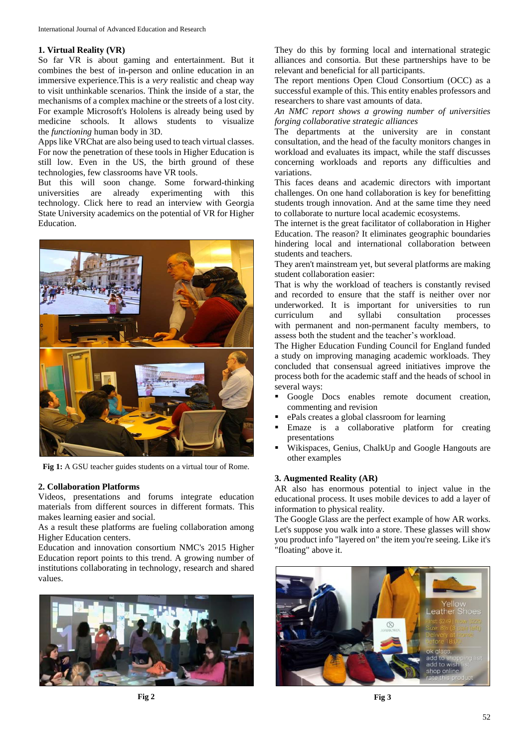#### **1. Virtual Reality (VR)**

So far VR is about gaming and entertainment. But it combines the best of in-person and online education in an immersive experience.This is a *very* realistic and cheap way to visit unthinkable scenarios. Think the inside of a star, the mechanisms of a complex machine or the streets of a lost city. For example Microsoft's Hololens is already being used by medicine schools. It allows students to visualize the *functioning* human body in 3D.

Apps like VRChat are also being used to teach virtual classes. For now the penetration of these tools in Higher Education is still low. Even in the US, the birth ground of these technologies, few classrooms have VR tools.

But this will soon change. Some forward-thinking universities are already experimenting with this technology. Click here to read an interview with Georgia State University academics on the potential of VR for Higher Education.



**Fig 1:** A GSU teacher guides students on a virtual tour of Rome.

#### **2. Collaboration Platforms**

Videos, presentations and forums integrate education materials from different sources in different formats. This makes learning easier and social.

As a result these platforms are fueling collaboration among Higher Education centers.

Education and innovation consortium NMC's 2015 Higher Education report points to this trend. A growing number of institutions collaborating in technology, research and shared values.



They do this by forming local and international strategic alliances and consortia. But these partnerships have to be relevant and beneficial for all participants.

The report mentions Open Cloud Consortium (OCC) as a successful example of this. This entity enables professors and researchers to share vast amounts of data.

*An NMC report shows a growing number of universities forging collaborative strategic alliances*

The departments at the university are in constant consultation, and the head of the faculty monitors changes in workload and evaluates its impact, while the staff discusses concerning workloads and reports any difficulties and variations.

This faces deans and academic directors with important challenges. On one hand collaboration is key for benefitting students trough innovation. And at the same time they need to collaborate to nurture local academic ecosystems.

The internet is the great facilitator of collaboration in Higher Education. The reason? It eliminates geographic boundaries hindering local and international collaboration between students and teachers.

They aren't mainstream yet, but several platforms are making student collaboration easier:

That is why the workload of teachers is constantly revised and recorded to ensure that the staff is neither over nor underworked. It is important for universities to run curriculum and syllabi consultation processes with permanent and non-permanent faculty members, to assess both the student and the teacher's workload.

The Higher Education Funding Council for England funded a study on improving managing academic workloads. They concluded that consensual agreed initiatives improve the process both for the academic staff and the heads of school in several ways:

- Google Docs enables remote document creation, commenting and revision
- ePals creates a global classroom for learning
- Emaze is a collaborative platform for creating presentations
- Wikispaces, Genius, ChalkUp and Google Hangouts are other examples

#### **3. Augmented Reality (AR)**

AR also has enormous potential to inject value in the educational process. It uses mobile devices to add a layer of information to physical reality.

The Google Glass are the perfect example of how AR works. Let's suppose you walk into a store. These glasses will show you product info "layered on" the item you're seeing. Like it's "floating" above it.

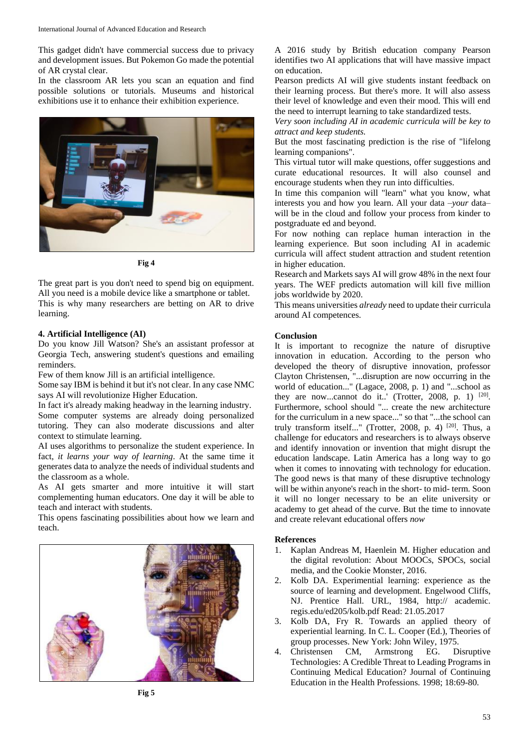This gadget didn't have commercial success due to privacy and development issues. But Pokemon Go made the potential of AR crystal clear.

In the classroom AR lets you scan an equation and find possible solutions or tutorials. Museums and historical exhibitions use it to enhance their exhibition experience.



**Fig 4**

The great part is you don't need to spend big on equipment. All you need is a mobile device like a smartphone or tablet. This is why many researchers are betting on AR to drive learning.

### **4. Artificial Intelligence (AI)**

Do you know Jill Watson? She's an assistant professor at Georgia Tech, answering student's questions and emailing reminders.

Few of them know Jill is an artificial intelligence.

Some say IBM is behind it but it's not clear. In any case NMC says AI will revolutionize Higher Education.

In fact it's already making headway in the learning industry.

Some computer systems are already doing personalized tutoring. They can also moderate discussions and alter context to stimulate learning.

AI uses algorithms to personalize the student experience. In fact, *it learns your way of learning*. At the same time it generates data to analyze the needs of individual students and the classroom as a whole.

As AI gets smarter and more intuitive it will start complementing human educators. One day it will be able to teach and interact with students.

This opens fascinating possibilities about how we learn and teach.



A 2016 study by British education company Pearson identifies two AI applications that will have massive impact on education.

Pearson predicts AI will give students instant feedback on their learning process. But there's more. It will also assess their level of knowledge and even their mood. This will end the need to interrupt learning to take standardized tests.

*Very soon including AI in academic curricula will be key to attract and keep students.*

But the most fascinating prediction is the rise of "lifelong learning companions".

This virtual tutor will make questions, offer suggestions and curate educational resources. It will also counsel and encourage students when they run into difficulties.

In time this companion will "learn" what you know, what interests you and how you learn. All your data –*your* data– will be in the cloud and follow your process from kinder to postgraduate ed and beyond.

For now nothing can replace human interaction in the learning experience. But soon including AI in academic curricula will affect student attraction and student retention in higher education.

Research and Markets says AI will grow 48% in the next four years. The WEF predicts automation will kill five million jobs worldwide by 2020.

This means universities *already* need to update their curricula around AI competences.

## **Conclusion**

It is important to recognize the nature of disruptive innovation in education. According to the person who developed the theory of disruptive innovation, professor Clayton Christensen, "...disruption are now occurring in the world of education..." (Lagace, 2008, p. 1) and "...school as they are now...cannot do it..' (Trotter, 2008, p. 1)  $[20]$ . Furthermore, school should "... create the new architecture for the curriculum in a new space..." so that "...the school can truly transform itself..." (Trotter, 2008, p. 4)<sup>[20]</sup>. Thus, a challenge for educators and researchers is to always observe and identify innovation or invention that might disrupt the education landscape. Latin America has a long way to go when it comes to innovating with technology for education. The good news is that many of these disruptive technology will be within anyone's reach in the short- to mid- term. Soon it will no longer necessary to be an elite university or academy to get ahead of the curve. But the time to innovate and create relevant educational offers *now*

#### **References**

- 1. Kaplan Andreas M, Haenlein M. Higher education and the digital revolution: About MOOCs, SPOCs, social media, and the Cookie Monster, 2016.
- 2. Kolb DA. Experimential learning: experience as the source of learning and development. Engelwood Cliffs, NJ. Prentice Hall. URL, 1984, http:// academic. regis.edu/ed205/kolb.pdf Read: 21.05.2017
- 3. Kolb DA, Fry R. Towards an applied theory of experiential learning. In C. L. Cooper (Ed.), Theories of group processes. New York: John Wiley, 1975.
- 4. Christensen CM, Armstrong EG. Disruptive Technologies: A Credible Threat to Leading Programs in Continuing Medical Education? Journal of Continuing Education in the Health Professions. 1998; 18:69-80.